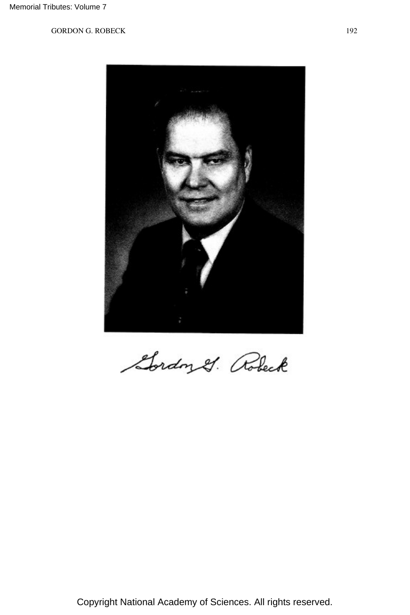

Gordon &. Robert

Copyright National Academy of Sciences. All rights reserved.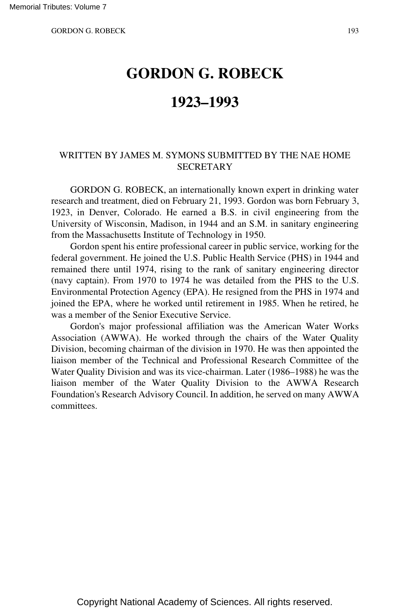# **GORDON G. ROBECK**

## **1923–1993**

## WRITTEN BY JAMES M. SYMONS SUBMITTED BY THE NAE HOME **SECRETARY**

GORDON G. ROBECK, an internationally known expert in drinking water research and treatment, died on February 21, 1993. Gordon was born February 3, 1923, in Denver, Colorado. He earned a B.S. in civil engineering from the University of Wisconsin, Madison, in 1944 and an S.M. in sanitary engineering from the Massachusetts Institute of Technology in 1950.

Gordon spent his entire professional career in public service, working for the federal government. He joined the U.S. Public Health Service (PHS) in 1944 and remained there until 1974, rising to the rank of sanitary engineering director (navy captain). From 1970 to 1974 he was detailed from the PHS to the U.S. Environmental Protection Agency (EPA). He resigned from the PHS in 1974 and joined the EPA, where he worked until retirement in 1985. When he retired, he was a member of the Senior Executive Service.

Gordon's major professional affiliation was the American Water Works Association (AWWA). He worked through the chairs of the Water Quality Division, becoming chairman of the division in 1970. He was then appointed the liaison member of the Technical and Professional Research Committee of the Water Quality Division and was its vice-chairman. Later (1986–1988) he was the liaison member of the Water Quality Division to the AWWA Research Foundation's Research Advisory Council. In addition, he served on many AWWA committees.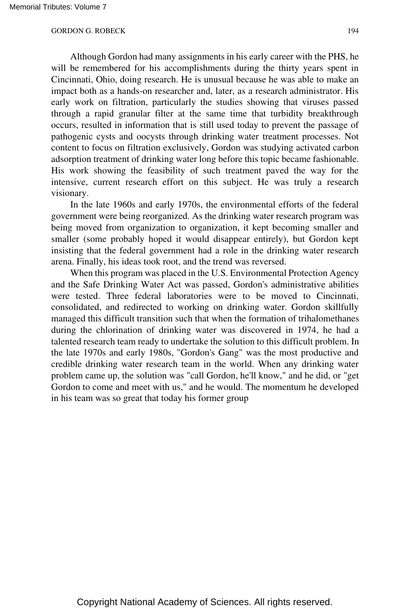Although Gordon had many assignments in his early career with the PHS, he will be remembered for his accomplishments during the thirty years spent in Cincinnati, Ohio, doing research. He is unusual because he was able to make an impact both as a hands-on researcher and, later, as a research administrator. His early work on filtration, particularly the studies showing that viruses passed through a rapid granular filter at the same time that turbidity breakthrough occurs, resulted in information that is still used today to prevent the passage of pathogenic cysts and oocysts through drinking water treatment processes. Not content to focus on filtration exclusively, Gordon was studying activated carbon adsorption treatment of drinking water long before this topic became fashionable. His work showing the feasibility of such treatment paved the way for the intensive, current research effort on this subject. He was truly a research visionary.

In the late 1960s and early 1970s, the environmental efforts of the federal government were being reorganized. As the drinking water research program was being moved from organization to organization, it kept becoming smaller and smaller (some probably hoped it would disappear entirely), but Gordon kept insisting that the federal government had a role in the drinking water research arena. Finally, his ideas took root, and the trend was reversed.

When this program was placed in the U.S. Environmental Protection Agency and the Safe Drinking Water Act was passed, Gordon's administrative abilities were tested. Three federal laboratories were to be moved to Cincinnati, consolidated, and redirected to working on drinking water. Gordon skillfully managed this difficult transition such that when the formation of trihalomethanes during the chlorination of drinking water was discovered in 1974, he had a talented research team ready to undertake the solution to this difficult problem. In the late 1970s and early 1980s, ''Gordon's Gang" was the most productive and credible drinking water research team in the world. When any drinking water problem came up, the solution was "call Gordon, he'll know," and he did, or "get Gordon to come and meet with us," and he would. The momentum he developed in his team was so great that today his former group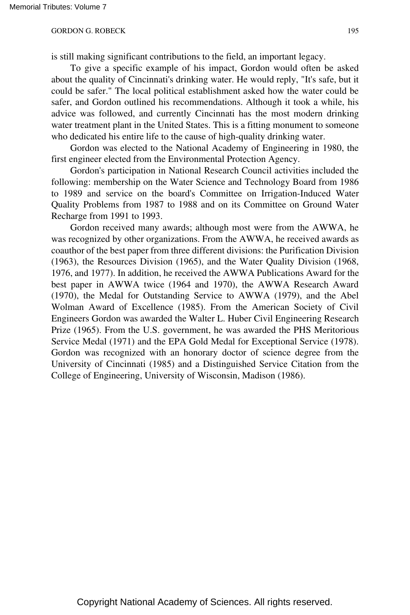is still making significant contributions to the field, an important legacy.

To give a specific example of his impact, Gordon would often be asked about the quality of Cincinnati's drinking water. He would reply, "It's safe, but it could be safer." The local political establishment asked how the water could be safer, and Gordon outlined his recommendations. Although it took a while, his advice was followed, and currently Cincinnati has the most modern drinking water treatment plant in the United States. This is a fitting monument to someone who dedicated his entire life to the cause of high-quality drinking water.

Gordon was elected to the National Academy of Engineering in 1980, the first engineer elected from the Environmental Protection Agency.

Gordon's participation in National Research Council activities included the following: membership on the Water Science and Technology Board from 1986 to 1989 and service on the board's Committee on Irrigation-Induced Water Quality Problems from 1987 to 1988 and on its Committee on Ground Water Recharge from 1991 to 1993.

Gordon received many awards; although most were from the AWWA, he was recognized by other organizations. From the AWWA, he received awards as coauthor of the best paper from three different divisions: the Purification Division (1963), the Resources Division (1965), and the Water Quality Division (1968, 1976, and 1977). In addition, he received the AWWA Publications Award for the best paper in AWWA twice (1964 and 1970), the AWWA Research Award (1970), the Medal for Outstanding Service to AWWA (1979), and the Abel Wolman Award of Excellence (1985). From the American Society of Civil Engineers Gordon was awarded the Walter L. Huber Civil Engineering Research Prize (1965). From the U.S. government, he was awarded the PHS Meritorious Service Medal (1971) and the EPA Gold Medal for Exceptional Service (1978). Gordon was recognized with an honorary doctor of science degree from the University of Cincinnati (1985) and a Distinguished Service Citation from the College of Engineering, University of Wisconsin, Madison (1986).